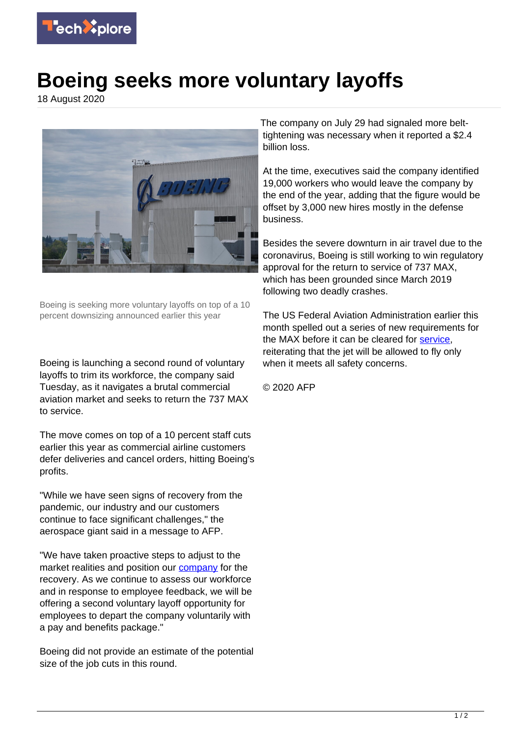

## **Boeing seeks more voluntary layoffs**

18 August 2020



Boeing is seeking more voluntary layoffs on top of a 10 percent downsizing announced earlier this year

Boeing is launching a second round of voluntary layoffs to trim its workforce, the company said Tuesday, as it navigates a brutal commercial aviation market and seeks to return the 737 MAX to service.

The move comes on top of a 10 percent staff cuts earlier this year as commercial airline customers defer deliveries and cancel orders, hitting Boeing's profits.

"While we have seen signs of recovery from the pandemic, our industry and our customers continue to face significant challenges," the aerospace giant said in a message to AFP.

"We have taken proactive steps to adjust to the market realities and position our **company** for the recovery. As we continue to assess our workforce and in response to employee feedback, we will be offering a second voluntary layoff opportunity for employees to depart the company voluntarily with a pay and benefits package."

Boeing did not provide an estimate of the potential size of the job cuts in this round.

The company on July 29 had signaled more belttightening was necessary when it reported a \$2.4 billion loss.

At the time, executives said the company identified 19,000 workers who would leave the company by the end of the year, adding that the figure would be offset by 3,000 new hires mostly in the defense business.

Besides the severe downturn in air travel due to the coronavirus, Boeing is still working to win regulatory approval for the return to service of 737 MAX, which has been grounded since March 2019 following two deadly crashes.

The US Federal Aviation Administration earlier this month spelled out a series of new requirements for the MAX before it can be cleared for [service](https://techxplore.com/tags/service/), reiterating that the jet will be allowed to fly only when it meets all safety concerns.

© 2020 AFP